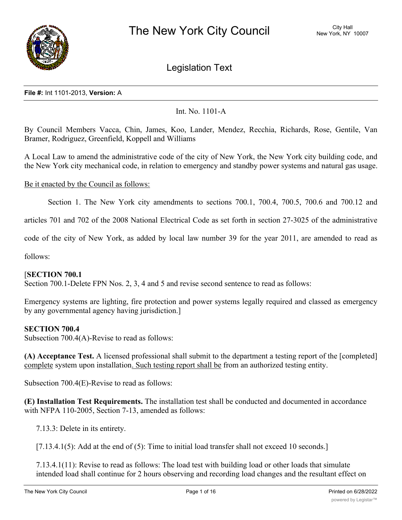

# Legislation Text

#### **File #:** Int 1101-2013, **Version:** A

## Int. No. 1101-A

By Council Members Vacca, Chin, James, Koo, Lander, Mendez, Recchia, Richards, Rose, Gentile, Van Bramer, Rodriguez, Greenfield, Koppell and Williams

A Local Law to amend the administrative code of the city of New York, the New York city building code, and the New York city mechanical code, in relation to emergency and standby power systems and natural gas usage.

#### Be it enacted by the Council as follows:

Section 1. The New York city amendments to sections 700.1, 700.4, 700.5, 700.6 and 700.12 and

articles 701 and 702 of the 2008 National Electrical Code as set forth in section 27-3025 of the administrative

code of the city of New York, as added by local law number 39 for the year 2011, are amended to read as

follows:

#### [**SECTION 700.1**

Section 700.1-Delete FPN Nos. 2, 3, 4 and 5 and revise second sentence to read as follows:

Emergency systems are lighting, fire protection and power systems legally required and classed as emergency by any governmental agency having jurisdiction.]

#### **SECTION 700.4**

Subsection 700.4(A)-Revise to read as follows:

**(A) Acceptance Test.** A licensed professional shall submit to the department a testing report of the [completed] complete system upon installation. Such testing report shall be from an authorized testing entity.

Subsection 700.4(E)-Revise to read as follows:

**(E) Installation Test Requirements.** The installation test shall be conducted and documented in accordance with NFPA 110-2005, Section 7-13, amended as follows:

7.13.3: Delete in its entirety.

[7.13.4.1(5): Add at the end of (5): Time to initial load transfer shall not exceed 10 seconds.]

7.13.4.1(11): Revise to read as follows: The load test with building load or other loads that simulate intended load shall continue for 2 hours observing and recording load changes and the resultant effect on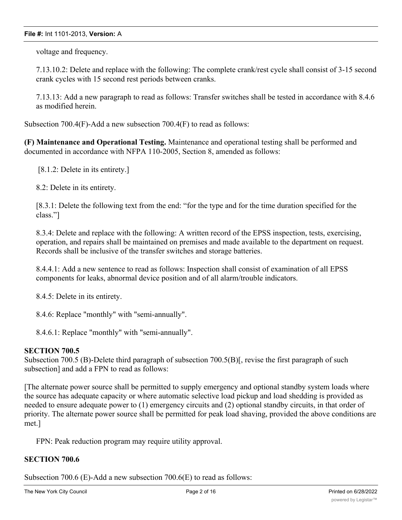voltage and frequency.

7.13.10.2: Delete and replace with the following: The complete crank/rest cycle shall consist of 3-15 second crank cycles with 15 second rest periods between cranks.

7.13.13: Add a new paragraph to read as follows: Transfer switches shall be tested in accordance with 8.4.6 as modified herein.

Subsection 700.4(F)-Add a new subsection 700.4(F) to read as follows:

**(F) Maintenance and Operational Testing.** Maintenance and operational testing shall be performed and documented in accordance with NFPA 110-2005, Section 8, amended as follows:

[8.1.2: Delete in its entirety.]

8.2: Delete in its entirety.

[8.3.1: Delete the following text from the end: "for the type and for the time duration specified for the class."]

8.3.4: Delete and replace with the following: A written record of the EPSS inspection, tests, exercising, operation, and repairs shall be maintained on premises and made available to the department on request. Records shall be inclusive of the transfer switches and storage batteries.

8.4.4.1: Add a new sentence to read as follows: Inspection shall consist of examination of all EPSS components for leaks, abnormal device position and of all alarm/trouble indicators.

8.4.5: Delete in its entirety.

8.4.6: Replace "monthly" with "semi-annually".

8.4.6.1: Replace "monthly" with "semi-annually".

#### **SECTION 700.5**

Subsection 700.5 (B)-Delete third paragraph of subsection 700.5(B)[, revise the first paragraph of such subsection] and add a FPN to read as follows:

[The alternate power source shall be permitted to supply emergency and optional standby system loads where the source has adequate capacity or where automatic selective load pickup and load shedding is provided as needed to ensure adequate power to (1) emergency circuits and (2) optional standby circuits, in that order of priority. The alternate power source shall be permitted for peak load shaving, provided the above conditions are met.]

FPN: Peak reduction program may require utility approval.

## **SECTION 700.6**

Subsection 700.6 (E)-Add a new subsection 700.6(E) to read as follows: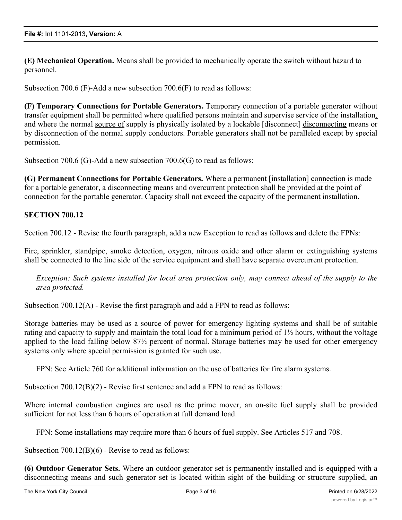**(E) Mechanical Operation.** Means shall be provided to mechanically operate the switch without hazard to personnel.

Subsection 700.6 (F)-Add a new subsection 700.6(F) to read as follows:

**(F) Temporary Connections for Portable Generators.** Temporary connection of a portable generator without transfer equipment shall be permitted where qualified persons maintain and supervise service of the installation, and where the normal source of supply is physically isolated by a lockable [disconnect] disconnecting means or by disconnection of the normal supply conductors. Portable generators shall not be paralleled except by special permission.

Subsection 700.6 (G)-Add a new subsection 700.6(G) to read as follows:

**(G) Permanent Connections for Portable Generators.** Where a permanent [installation] connection is made for a portable generator, a disconnecting means and overcurrent protection shall be provided at the point of connection for the portable generator. Capacity shall not exceed the capacity of the permanent installation.

## **SECTION 700.12**

Section 700.12 - Revise the fourth paragraph, add a new Exception to read as follows and delete the FPNs:

Fire, sprinkler, standpipe, smoke detection, oxygen, nitrous oxide and other alarm or extinguishing systems shall be connected to the line side of the service equipment and shall have separate overcurrent protection.

*Exception: Such systems installed for local area protection only, may connect ahead of the supply to the area protected.*

Subsection 700.12(A) - Revise the first paragraph and add a FPN to read as follows:

Storage batteries may be used as a source of power for emergency lighting systems and shall be of suitable rating and capacity to supply and maintain the total load for a minimum period of  $1\frac{1}{2}$  hours, without the voltage applied to the load falling below 87½ percent of normal. Storage batteries may be used for other emergency systems only where special permission is granted for such use.

FPN: See Article 760 for additional information on the use of batteries for fire alarm systems.

Subsection  $700.12(B)(2)$  - Revise first sentence and add a FPN to read as follows:

Where internal combustion engines are used as the prime mover, an on-site fuel supply shall be provided sufficient for not less than 6 hours of operation at full demand load.

FPN: Some installations may require more than 6 hours of fuel supply. See Articles 517 and 708.

Subsection 700.12(B)(6) - Revise to read as follows:

**(6) Outdoor Generator Sets.** Where an outdoor generator set is permanently installed and is equipped with a disconnecting means and such generator set is located within sight of the building or structure supplied, an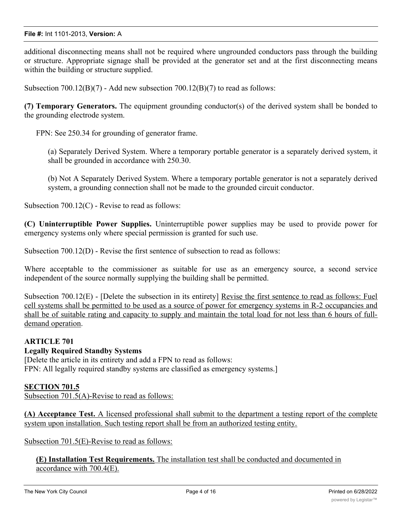additional disconnecting means shall not be required where ungrounded conductors pass through the building or structure. Appropriate signage shall be provided at the generator set and at the first disconnecting means within the building or structure supplied.

Subsection  $700.12(B)(7)$  - Add new subsection  $700.12(B)(7)$  to read as follows:

**(7) Temporary Generators.** The equipment grounding conductor(s) of the derived system shall be bonded to the grounding electrode system.

FPN: See 250.34 for grounding of generator frame.

(a) Separately Derived System. Where a temporary portable generator is a separately derived system, it shall be grounded in accordance with 250.30.

(b) Not A Separately Derived System. Where a temporary portable generator is not a separately derived system, a grounding connection shall not be made to the grounded circuit conductor.

Subsection 700.12(C) - Revise to read as follows:

**(C) Uninterruptible Power Supplies.** Uninterruptible power supplies may be used to provide power for emergency systems only where special permission is granted for such use.

Subsection 700.12(D) - Revise the first sentence of subsection to read as follows:

Where acceptable to the commissioner as suitable for use as an emergency source, a second service independent of the source normally supplying the building shall be permitted.

Subsection 700.12(E) - [Delete the subsection in its entirety] Revise the first sentence to read as follows: Fuel cell systems shall be permitted to be used as a source of power for emergency systems in R-2 occupancies and shall be of suitable rating and capacity to supply and maintain the total load for not less than 6 hours of fulldemand operation.

## **ARTICLE 701**

## **Legally Required Standby Systems**

[Delete the article in its entirety and add a FPN to read as follows: FPN: All legally required standby systems are classified as emergency systems.

## **SECTION 701.5**

Subsection 701.5(A)-Revise to read as follows:

**(A) Acceptance Test.** A licensed professional shall submit to the department a testing report of the complete system upon installation. Such testing report shall be from an authorized testing entity.

Subsection 701.5(E)-Revise to read as follows:

**(E) Installation Test Requirements.** The installation test shall be conducted and documented in accordance with 700.4(E).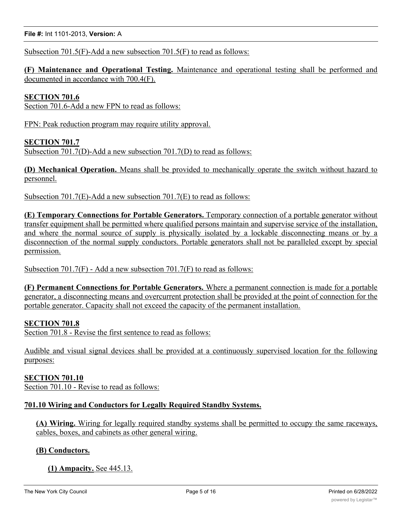**File #:** Int 1101-2013, **Version:** A

Subsection 701.5(F)-Add a new subsection 701.5(F) to read as follows:

**(F) Maintenance and Operational Testing.** Maintenance and operational testing shall be performed and documented in accordance with 700.4(F).

## **SECTION 701.6**

Section 701.6-Add a new FPN to read as follows:

FPN: Peak reduction program may require utility approval.

#### **SECTION 701.7**

Subsection 701.7(D)-Add a new subsection 701.7(D) to read as follows:

**(D) Mechanical Operation.** Means shall be provided to mechanically operate the switch without hazard to personnel.

Subsection 701.7(E)-Add a new subsection 701.7(E) to read as follows:

**(E) Temporary Connections for Portable Generators.** Temporary connection of a portable generator without transfer equipment shall be permitted where qualified persons maintain and supervise service of the installation, and where the normal source of supply is physically isolated by a lockable disconnecting means or by a disconnection of the normal supply conductors. Portable generators shall not be paralleled except by special permission.

Subsection 701.7(F) - Add a new subsection 701.7(F) to read as follows:

**(F) Permanent Connections for Portable Generators.** Where a permanent connection is made for a portable generator, a disconnecting means and overcurrent protection shall be provided at the point of connection for the portable generator. Capacity shall not exceed the capacity of the permanent installation.

## **SECTION 701.8**

Section 701.8 - Revise the first sentence to read as follows:

Audible and visual signal devices shall be provided at a continuously supervised location for the following purposes:

#### **SECTION 701.10**

Section 701.10 - Revise to read as follows:

## **701.10 Wiring and Conductors for Legally Required Standby Systems.**

**(A) Wiring.** Wiring for legally required standby systems shall be permitted to occupy the same raceways, cables, boxes, and cabinets as other general wiring.

#### **(B) Conductors.**

## **(1) Ampacity.** See 445.13.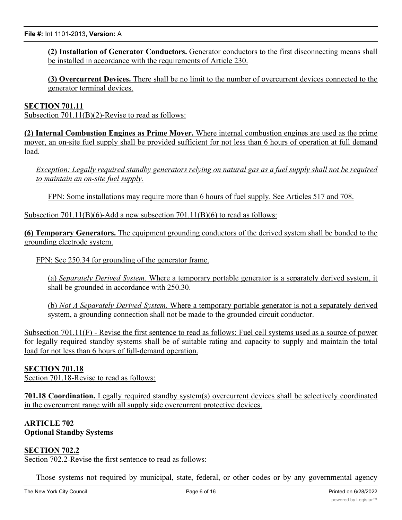**(2) Installation of Generator Conductors.** Generator conductors to the first disconnecting means shall be installed in accordance with the requirements of Article 230.

**(3) Overcurrent Devices.** There shall be no limit to the number of overcurrent devices connected to the generator terminal devices.

#### **SECTION 701.11**

Subsection 701.11(B)(2)-Revise to read as follows:

**(2) Internal Combustion Engines as Prime Mover.** Where internal combustion engines are used as the prime mover, an on-site fuel supply shall be provided sufficient for not less than 6 hours of operation at full demand load.

Exception: Legally required standby generators relying on natural gas as a fuel supply shall not be required *to maintain an on-site fuel supply.*

FPN: Some installations may require more than 6 hours of fuel supply. See Articles 517 and 708.

Subsection  $701.11(B)(6)$ -Add a new subsection  $701.11(B)(6)$  to read as follows:

**(6) Temporary Generators.** The equipment grounding conductors of the derived system shall be bonded to the grounding electrode system.

FPN: See 250.34 for grounding of the generator frame.

(a) *Separately Derived System.* Where a temporary portable generator is a separately derived system, it shall be grounded in accordance with 250.30.

(b) *Not A Separately Derived System.* Where a temporary portable generator is not a separately derived system, a grounding connection shall not be made to the grounded circuit conductor.

Subsection 701.11(F) - Revise the first sentence to read as follows: Fuel cell systems used as a source of power for legally required standby systems shall be of suitable rating and capacity to supply and maintain the total load for not less than 6 hours of full-demand operation.

## **SECTION 701.18**

Section 701.18-Revise to read as follows:

**701.18 Coordination.** Legally required standby system(s) overcurrent devices shall be selectively coordinated in the overcurrent range with all supply side overcurrent protective devices.

## **ARTICLE 702 Optional Standby Systems**

# **SECTION 702.2**

Section 702.2-Revise the first sentence to read as follows:

Those systems not required by municipal, state, federal, or other codes or by any governmental agency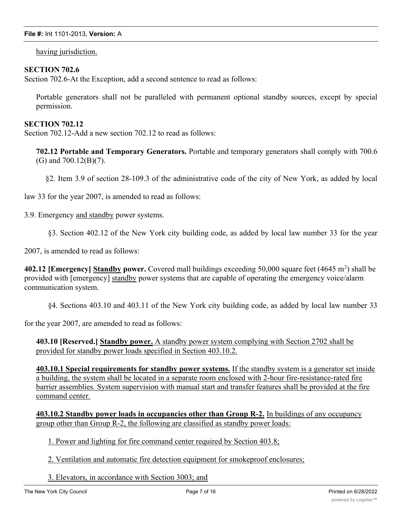having jurisdiction.

#### **SECTION 702.6**

Section 702.6-At the Exception, add a second sentence to read as follows:

Portable generators shall not be paralleled with permanent optional standby sources, except by special permission.

#### **SECTION 702.12**

Section 702.12-Add a new section 702.12 to read as follows:

**702.12 Portable and Temporary Generators.** Portable and temporary generators shall comply with 700.6 (G) and 700.12(B)(7).

§2. Item 3.9 of section 28-109.3 of the administrative code of the city of New York, as added by local

law 33 for the year 2007, is amended to read as follows:

3.9. Emergency and standby power systems.

§3. Section 402.12 of the New York city building code, as added by local law number 33 for the year

2007, is amended to read as follows:

402.12 [Emergency] Standby power. Covered mall buildings exceeding 50,000 square feet (4645 m<sup>2</sup>) shall be provided with [emergency] standby power systems that are capable of operating the emergency voice/alarm communication system.

§4. Sections 403.10 and 403.11 of the New York city building code, as added by local law number 33

for the year 2007, are amended to read as follows:

**403.10 [Reserved.] Standby power.** A standby power system complying with Section 2702 shall be provided for standby power loads specified in Section 403.10.2.

**403.10.1 Special requirements for standby power systems.** If the standby system is a generator set inside a building, the system shall be located in a separate room enclosed with 2-hour fire-resistance-rated fire barrier assemblies. System supervision with manual start and transfer features shall be provided at the fire command center.

**403.10.2 Standby power loads in occupancies other than Group R-2.** In buildings of any occupancy group other than Group R-2, the following are classified as standby power loads:

1. Power and lighting for fire command center required by Section 403.8;

2. Ventilation and automatic fire detection equipment for smokeproof enclosures;

3. Elevators, in accordance with Section 3003; and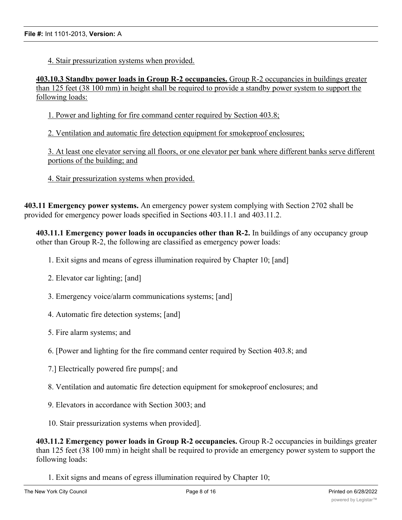4. Stair pressurization systems when provided.

**403.10.3 Standby power loads in Group R-2 occupancies.** Group R-2 occupancies in buildings greater than 125 feet (38 100 mm) in height shall be required to provide a standby power system to support the following loads:

1. Power and lighting for fire command center required by Section 403.8;

2. Ventilation and automatic fire detection equipment for smokeproof enclosures;

3. At least one elevator serving all floors, or one elevator per bank where different banks serve different portions of the building; and

4. Stair pressurization systems when provided.

**403.11 Emergency power systems.** An emergency power system complying with Section 2702 shall be provided for emergency power loads specified in Sections 403.11.1 and 403.11.2.

**403.11.1 Emergency power loads in occupancies other than R-2.** In buildings of any occupancy group other than Group R-2, the following are classified as emergency power loads:

- 1. Exit signs and means of egress illumination required by Chapter 10; [and]
- 2. Elevator car lighting; [and]
- 3. Emergency voice/alarm communications systems; [and]
- 4. Automatic fire detection systems; [and]
- 5. Fire alarm systems; and
- 6. [Power and lighting for the fire command center required by Section 403.8; and
- 7.] Electrically powered fire pumps[; and
- 8. Ventilation and automatic fire detection equipment for smokeproof enclosures; and
- 9. Elevators in accordance with Section 3003; and
- 10. Stair pressurization systems when provided].

**403.11.2 Emergency power loads in Group R-2 occupancies.** Group R-2 occupancies in buildings greater than 125 feet (38 100 mm) in height shall be required to provide an emergency power system to support the following loads:

1. Exit signs and means of egress illumination required by Chapter 10;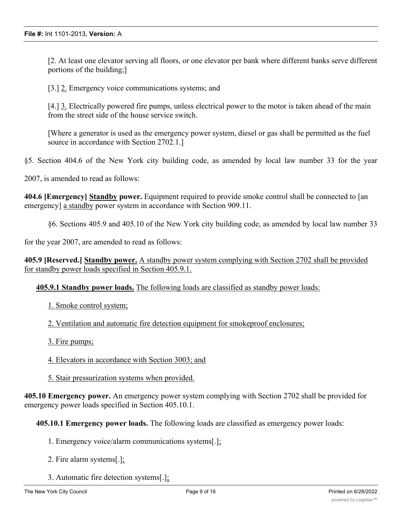[2. At least one elevator serving all floors, or one elevator per bank where different banks serve different portions of the building;]

[3.] 2. Emergency voice communications systems; and

[4.] 3. Electrically powered fire pumps, unless electrical power to the motor is taken ahead of the main from the street side of the house service switch.

[Where a generator is used as the emergency power system, diesel or gas shall be permitted as the fuel source in accordance with Section 2702.1.]

§5. Section 404.6 of the New York city building code, as amended by local law number 33 for the year

2007, is amended to read as follows:

**404.6 [Emergency] Standby power.** Equipment required to provide smoke control shall be connected to [an emergency] a standby power system in accordance with Section 909.11.

§6. Sections 405.9 and 405.10 of the New York city building code, as amended by local law number 33

for the year 2007, are amended to read as follows:

**405.9 [Reserved.] Standby power.** A standby power system complying with Section 2702 shall be provided for standby power loads specified in Section 405.9.1.

**405.9.1 Standby power loads.** The following loads are classified as standby power loads:

1. Smoke control system;

2. Ventilation and automatic fire detection equipment for smokeproof enclosures;

- 3. Fire pumps;
- 4. Elevators in accordance with Section 3003; and
- 5. Stair pressurization systems when provided.

**405.10 Emergency power.** An emergency power system complying with Section 2702 shall be provided for emergency power loads specified in Section 405.10.1.

**405.10.1 Emergency power loads.** The following loads are classified as emergency power loads:

- 1. Emergency voice/alarm communications systems[.];
- 2. Fire alarm systems[.];
- 3. Automatic fire detection systems[.];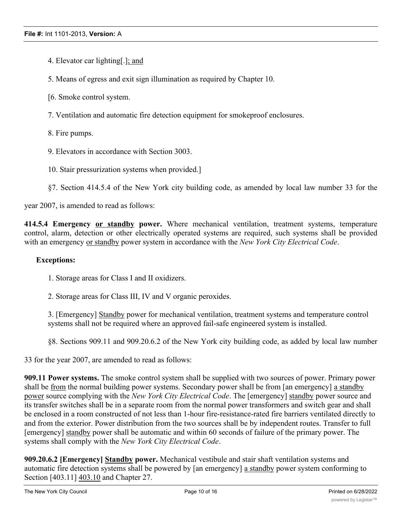- 4. Elevator car lighting[.]; and
- 5. Means of egress and exit sign illumination as required by Chapter 10.
- [6. Smoke control system.
- 7. Ventilation and automatic fire detection equipment for smokeproof enclosures.
- 8. Fire pumps.
- 9. Elevators in accordance with Section 3003.
- 10. Stair pressurization systems when provided.]
- §7. Section 414.5.4 of the New York city building code, as amended by local law number 33 for the

year 2007, is amended to read as follows:

**414.5.4 Emergency or standby power.** Where mechanical ventilation, treatment systems, temperature control, alarm, detection or other electrically operated systems are required, such systems shall be provided with an emergency or standby power system in accordance with the *New York City Electrical Code*.

#### **Exceptions:**

- 1. Storage areas for Class I and II oxidizers.
- 2. Storage areas for Class III, IV and V organic peroxides.

3. [Emergency] Standby power for mechanical ventilation, treatment systems and temperature control systems shall not be required where an approved fail-safe engineered system is installed.

§8. Sections 909.11 and 909.20.6.2 of the New York city building code, as added by local law number

33 for the year 2007, are amended to read as follows:

**909.11 Power systems.** The smoke control system shall be supplied with two sources of power. Primary power shall be from the normal building power systems. Secondary power shall be from [an emergency] a standby power source complying with the *New York City Electrical Code*. The [emergency] standby power source and its transfer switches shall be in a separate room from the normal power transformers and switch gear and shall be enclosed in a room constructed of not less than 1-hour fire-resistance-rated fire barriers ventilated directly to and from the exterior. Power distribution from the two sources shall be by independent routes. Transfer to full [emergency] standby power shall be automatic and within 60 seconds of failure of the primary power. The systems shall comply with the *New York City Electrical Code*.

**909.20.6.2 [Emergency] Standby power.** Mechanical vestibule and stair shaft ventilation systems and automatic fire detection systems shall be powered by [an emergency] a standby power system conforming to Section [403.11] 403.10 and Chapter 27.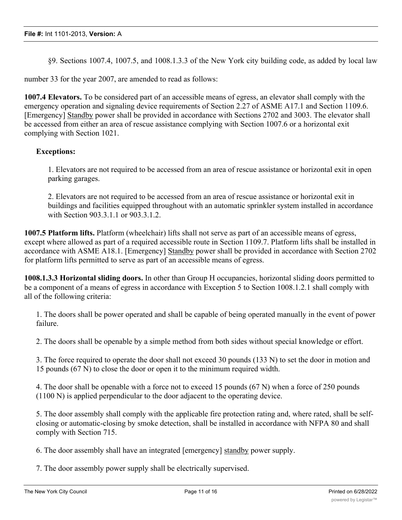§9. Sections 1007.4, 1007.5, and 1008.1.3.3 of the New York city building code, as added by local law

number 33 for the year 2007, are amended to read as follows:

**1007.4 Elevators.** To be considered part of an accessible means of egress, an elevator shall comply with the emergency operation and signaling device requirements of Section 2.27 of ASME A17.1 and Section 1109.6. [Emergency] Standby power shall be provided in accordance with Sections 2702 and 3003. The elevator shall be accessed from either an area of rescue assistance complying with Section 1007.6 or a horizontal exit complying with Section 1021.

#### **Exceptions:**

1. Elevators are not required to be accessed from an area of rescue assistance or horizontal exit in open parking garages.

2. Elevators are not required to be accessed from an area of rescue assistance or horizontal exit in buildings and facilities equipped throughout with an automatic sprinkler system installed in accordance with Section 903.3.1.1 or 903.3.1.2.

**1007.5 Platform lifts.** Platform (wheelchair) lifts shall not serve as part of an accessible means of egress, except where allowed as part of a required accessible route in Section 1109.7. Platform lifts shall be installed in accordance with ASME A18.1. [Emergency] Standby power shall be provided in accordance with Section 2702 for platform lifts permitted to serve as part of an accessible means of egress.

**1008.1.3.3 Horizontal sliding doors.** In other than Group H occupancies, horizontal sliding doors permitted to be a component of a means of egress in accordance with Exception 5 to Section 1008.1.2.1 shall comply with all of the following criteria:

1. The doors shall be power operated and shall be capable of being operated manually in the event of power failure.

2. The doors shall be openable by a simple method from both sides without special knowledge or effort.

3. The force required to operate the door shall not exceed 30 pounds (133 N) to set the door in motion and 15 pounds (67 N) to close the door or open it to the minimum required width.

4. The door shall be openable with a force not to exceed 15 pounds (67 N) when a force of 250 pounds (1100 N) is applied perpendicular to the door adjacent to the operating device.

5. The door assembly shall comply with the applicable fire protection rating and, where rated, shall be selfclosing or automatic-closing by smoke detection, shall be installed in accordance with NFPA 80 and shall comply with Section 715.

6. The door assembly shall have an integrated [emergency] standby power supply.

7. The door assembly power supply shall be electrically supervised.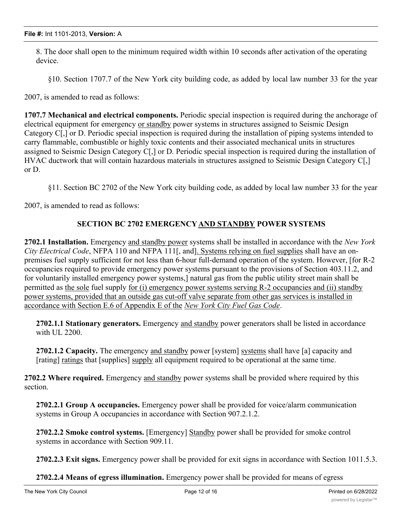8. The door shall open to the minimum required width within 10 seconds after activation of the operating device.

§10. Section 1707.7 of the New York city building code, as added by local law number 33 for the year

2007, is amended to read as follows:

**1707.7 Mechanical and electrical components.** Periodic special inspection is required during the anchorage of electrical equipment for emergency or standby power systems in structures assigned to Seismic Design Category C[,] or D. Periodic special inspection is required during the installation of piping systems intended to carry flammable, combustible or highly toxic contents and their associated mechanical units in structures assigned to Seismic Design Category C[,] or D. Periodic special inspection is required during the installation of HVAC ductwork that will contain hazardous materials in structures assigned to Seismic Design Category C[,] or D.

§11. Section BC 2702 of the New York city building code, as added by local law number 33 for the year

2007, is amended to read as follows:

# **SECTION BC 2702 EMERGENCYAND STANDBY POWER SYSTEMS**

**2702.1 Installation.** Emergency and standby power systems shall be installed in accordance with the *New York City Electrical Code*, NFPA 110 and NFPA 111[, and]. Systems relying on fuel supplies shall have an onpremises fuel supply sufficient for not less than 6-hour full-demand operation of the system. However, [for R-2 occupancies required to provide emergency power systems pursuant to the provisions of Section 403.11.2, and for voluntarily installed emergency power systems,] natural gas from the public utility street main shall be permitted as the sole fuel supply for (i) emergency power systems serving R-2 occupancies and (ii) standby power systems, provided that an outside gas cut-off valve separate from other gas services is installed in accordance with Section E.6 of Appendix E of the *New York City Fuel Gas Code*.

**2702.1.1 Stationary generators.** Emergency and standby power generators shall be listed in accordance with UL 2200.

**2702.1.2 Capacity.** The emergency and standby power [system] systems shall have [a] capacity and [rating] ratings that [supplies] supply all equipment required to be operational at the same time.

**2702.2 Where required.** Emergency and standby power systems shall be provided where required by this section.

**2702.2.1 Group A occupancies.** Emergency power shall be provided for voice/alarm communication systems in Group A occupancies in accordance with Section 907.2.1.2.

**2702.2.2 Smoke control systems.** [Emergency] Standby power shall be provided for smoke control systems in accordance with Section 909.11.

**2702.2.3 Exit signs.** Emergency power shall be provided for exit signs in accordance with Section 1011.5.3.

**2702.2.4 Means of egress illumination.** Emergency power shall be provided for means of egress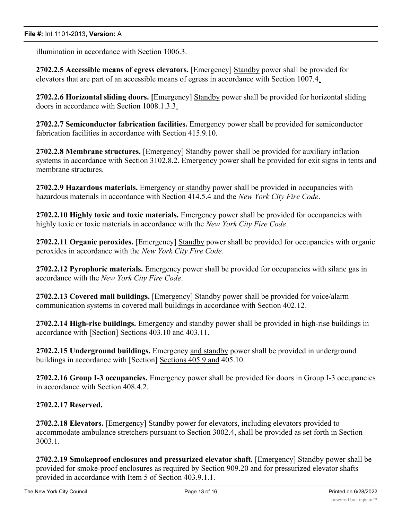illumination in accordance with Section 1006.3.

**2702.2.5 Accessible means of egress elevators.** [Emergency] Standby power shall be provided for elevators that are part of an accessible means of egress in accordance with Section 1007.4.

**2702.2.6 Horizontal sliding doors. [**Emergency] Standby power shall be provided for horizontal sliding doors in accordance with Section 1008.1.3.3.

**2702.2.7 Semiconductor fabrication facilities.** Emergency power shall be provided for semiconductor fabrication facilities in accordance with Section 415.9.10.

**2702.2.8 Membrane structures.** [Emergency] Standby power shall be provided for auxiliary inflation systems in accordance with Section 3102.8.2. Emergency power shall be provided for exit signs in tents and membrane structures.

**2702.2.9 Hazardous materials.** Emergency or standby power shall be provided in occupancies with hazardous materials in accordance with Section 414.5.4 and the *New York City Fire Code*.

**2702.2.10 Highly toxic and toxic materials.** Emergency power shall be provided for occupancies with highly toxic or toxic materials in accordance with the *New York City Fire Code*.

**2702.2.11 Organic peroxides.** [Emergency] Standby power shall be provided for occupancies with organic peroxides in accordance with the *New York City Fire Code*.

**2702.2.12 Pyrophoric materials.** Emergency power shall be provided for occupancies with silane gas in accordance with the *New York City Fire Code*.

**2702.2.13 Covered mall buildings.** [Emergency] Standby power shall be provided for voice/alarm communication systems in covered mall buildings in accordance with Section 402.12.

**2702.2.14 High-rise buildings.** Emergency and standby power shall be provided in high-rise buildings in accordance with [Section] Sections 403.10 and 403.11.

**2702.2.15 Underground buildings.** Emergency and standby power shall be provided in underground buildings in accordance with [Section] Sections 405.9 and 405.10.

**2702.2.16 Group I-3 occupancies.** Emergency power shall be provided for doors in Group I-3 occupancies in accordance with Section 408.4.2.

# **2702.2.17 Reserved.**

**2702.2.18 Elevators.** [Emergency] Standby power for elevators, including elevators provided to accommodate ambulance stretchers pursuant to Section 3002.4, shall be provided as set forth in Section 3003.1.

**2702.2.19 Smokeproof enclosures and pressurized elevator shaft.** [Emergency] Standby power shall be provided for smoke-proof enclosures as required by Section 909.20 and for pressurized elevator shafts provided in accordance with Item 5 of Section 403.9.1.1.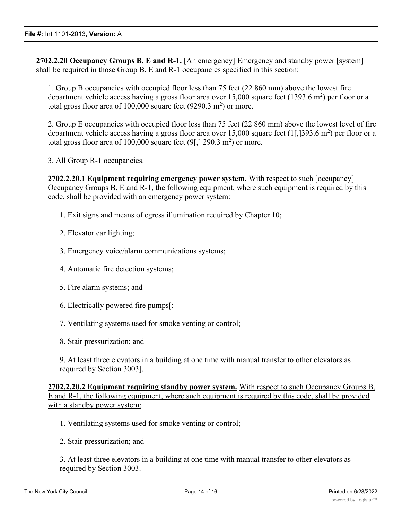**2702.2.20 Occupancy Groups B, E and R-1.** [An emergency] Emergency and standby power [system] shall be required in those Group B, E and R-1 occupancies specified in this section:

1. Group B occupancies with occupied floor less than 75 feet (22 860 mm) above the lowest fire department vehicle access having a gross floor area over  $15,000$  square feet (1393.6 m<sup>2</sup>) per floor or a total gross floor area of  $100,000$  square feet (9290.3 m<sup>2</sup>) or more.

2. Group E occupancies with occupied floor less than 75 feet (22 860 mm) above the lowest level of fire department vehicle access having a gross floor area over 15,000 square feet  $(1[,]393.6 \text{ m}^2$ ) per floor or a total gross floor area of 100,000 square feet  $(9[,]$  290.3 m<sup>2</sup>) or more.

3. All Group R-1 occupancies.

**2702.2.20.1 Equipment requiring emergency power system.** With respect to such [occupancy] Occupancy Groups B, E and R-1, the following equipment, where such equipment is required by this code, shall be provided with an emergency power system:

- 1. Exit signs and means of egress illumination required by Chapter 10;
- 2. Elevator car lighting;
- 3. Emergency voice/alarm communications systems;
- 4. Automatic fire detection systems;
- 5. Fire alarm systems; and
- 6. Electrically powered fire pumps[;
- 7. Ventilating systems used for smoke venting or control;
- 8. Stair pressurization; and

9. At least three elevators in a building at one time with manual transfer to other elevators as required by Section 3003].

**2702.2.20.2 Equipment requiring standby power system.** With respect to such Occupancy Groups B, E and R-1, the following equipment, where such equipment is required by this code, shall be provided with a standby power system:

1. Ventilating systems used for smoke venting or control;

2. Stair pressurization; and

3. At least three elevators in a building at one time with manual transfer to other elevators as required by Section 3003.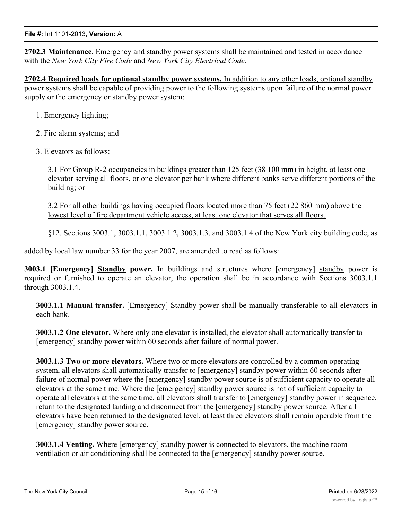#### **File #:** Int 1101-2013, **Version:** A

**2702.3 Maintenance.** Emergency and standby power systems shall be maintained and tested in accordance with the *New York City Fire Code* and *New York City Electrical Code*.

**2702.4 Required loads for optional standby power systems.** In addition to any other loads, optional standby power systems shall be capable of providing power to the following systems upon failure of the normal power supply or the emergency or standby power system:

1. Emergency lighting;

2. Fire alarm systems; and

3. Elevators as follows:

3.1 For Group R-2 occupancies in buildings greater than 125 feet (38 100 mm) in height, at least one elevator serving all floors, or one elevator per bank where different banks serve different portions of the building; or

3.2 For all other buildings having occupied floors located more than 75 feet (22 860 mm) above the lowest level of fire department vehicle access, at least one elevator that serves all floors.

§12. Sections 3003.1, 3003.1.1, 3003.1.2, 3003.1.3, and 3003.1.4 of the New York city building code, as

added by local law number 33 for the year 2007, are amended to read as follows:

**3003.1 [Emergency] Standby power.** In buildings and structures where [emergency] standby power is required or furnished to operate an elevator, the operation shall be in accordance with Sections 3003.1.1 through 3003.1.4.

**3003.1.1 Manual transfer.** [Emergency] Standby power shall be manually transferable to all elevators in each bank.

**3003.1.2 One elevator.** Where only one elevator is installed, the elevator shall automatically transfer to [emergency] standby power within 60 seconds after failure of normal power.

**3003.1.3 Two or more elevators.** Where two or more elevators are controlled by a common operating system, all elevators shall automatically transfer to [emergency] standby power within 60 seconds after failure of normal power where the [emergency] standby power source is of sufficient capacity to operate all elevators at the same time. Where the [emergency] standby power source is not of sufficient capacity to operate all elevators at the same time, all elevators shall transfer to [emergency] standby power in sequence, return to the designated landing and disconnect from the [emergency] standby power source. After all elevators have been returned to the designated level, at least three elevators shall remain operable from the [emergency] standby power source.

**3003.1.4 Venting.** Where [emergency] standby power is connected to elevators, the machine room ventilation or air conditioning shall be connected to the [emergency] standby power source.